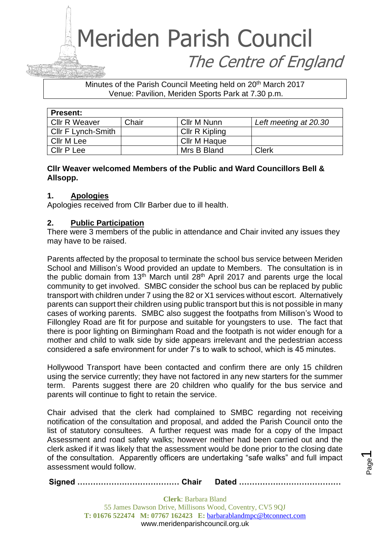Minutes of the Parish Council Meeting held on 20<sup>th</sup> March 2017 Venue: Pavilion, Meriden Sports Park at 7.30 p.m.

| <b>Present:</b>           |       |                |                       |
|---------------------------|-------|----------------|-----------------------|
| <b>CIIr R Weaver</b>      | Chair | Cllr M Nunn    | Left meeting at 20.30 |
| <b>CIIr F Lynch-Smith</b> |       | Cllr R Kipling |                       |
| Cllr M Lee                |       | Cllr M Haque   |                       |
| Cllr P Lee                |       | Mrs B Bland    | <b>Clerk</b>          |

#### **Cllr Weaver welcomed Members of the Public and Ward Councillors Bell & Allsopp.**

#### **1. Apologies**

Apologies received from Cllr Barber due to ill health.

#### **2. Public Participation**

There were 3 members of the public in attendance and Chair invited any issues they may have to be raised.

Parents affected by the proposal to terminate the school bus service between Meriden School and Millison's Wood provided an update to Members. The consultation is in the public domain from 13<sup>th</sup> March until  $28<sup>th</sup>$  April 2017 and parents urge the local community to get involved. SMBC consider the school bus can be replaced by public transport with children under 7 using the 82 or X1 services without escort. Alternatively parents can support their children using public transport but this is not possible in many cases of working parents. SMBC also suggest the footpaths from Millison's Wood to Fillongley Road are fit for purpose and suitable for youngsters to use. The fact that there is poor lighting on Birmingham Road and the footpath is not wider enough for a mother and child to walk side by side appears irrelevant and the pedestrian access considered a safe environment for under 7's to walk to school, which is 45 minutes.

Hollywood Transport have been contacted and confirm there are only 15 children using the service currently; they have not factored in any new starters for the summer term. Parents suggest there are 20 children who qualify for the bus service and parents will continue to fight to retain the service.

Chair advised that the clerk had complained to SMBC regarding not receiving notification of the consultation and proposal, and added the Parish Council onto the list of statutory consultees. A further request was made for a copy of the Impact Assessment and road safety walks; however neither had been carried out and the clerk asked if it was likely that the assessment would be done prior to the closing date of the consultation. Apparently officers are undertaking "safe walks" and full impact assessment would follow.

**Signed ………………………………… Chair Dated …………………………………**

**Clerk**: Barbara Bland 55 James Dawson Drive, Millisons Wood, Coventry, CV5 9QJ **T: 01676 522474 M: 07767 162423 E:** [barbarablandmpc@btconnect.com](mailto:barbarablandmpc@btconnect.com) www.meridenparishcouncil.org.uk

Page  $\overline{\phantom{0}}$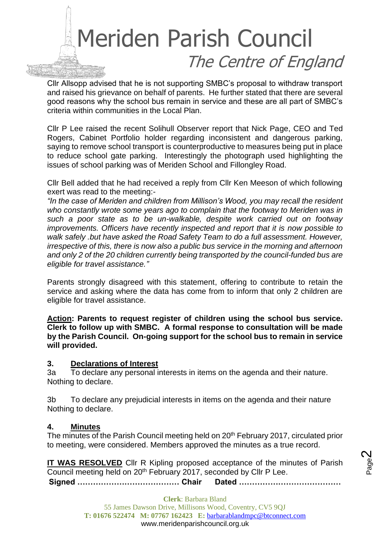Cllr Allsopp advised that he is not supporting SMBC's proposal to withdraw transport and raised his grievance on behalf of parents. He further stated that there are several good reasons why the school bus remain in service and these are all part of SMBC's criteria within communities in the Local Plan.

Cllr P Lee raised the recent Solihull Observer report that Nick Page, CEO and Ted Rogers, Cabinet Portfolio holder regarding inconsistent and dangerous parking, saying to remove school transport is counterproductive to measures being put in place to reduce school gate parking. Interestingly the photograph used highlighting the issues of school parking was of Meriden School and Fillongley Road.

Cllr Bell added that he had received a reply from Cllr Ken Meeson of which following exert was read to the meeting:-

*"In the case of Meriden and children from Millison's Wood, you may recall the resident who constantly wrote some years ago to complain that the footway to Meriden was in such a poor state as to be un-walkable, despite work carried out on footway improvements. Officers have recently inspected and report that it is now possible to walk safely .but have asked the Road Safety Team to do a full assessment. However, irrespective of this, there is now also a public bus service in the morning and afternoon and only 2 of the 20 children currently being transported by the council-funded bus are eligible for travel assistance."*

Parents strongly disagreed with this statement, offering to contribute to retain the service and asking where the data has come from to inform that only 2 children are eligible for travel assistance.

**Action: Parents to request register of children using the school bus service. Clerk to follow up with SMBC. A formal response to consultation will be made by the Parish Council. On-going support for the school bus to remain in service will provided.**

#### **3. Declarations of Interest**

3a To declare any personal interests in items on the agenda and their nature. Nothing to declare.

3b To declare any prejudicial interests in items on the agenda and their nature Nothing to declare.

#### **4. Minutes**

The minutes of the Parish Council meeting held on 20<sup>th</sup> February 2017, circulated prior to meeting, were considered. Members approved the minutes as a true record.

**Signed ………………………………… Chair Dated ………………………………… IT WAS RESOLVED** Cllr R Kipling proposed acceptance of the minutes of Parish Council meeting held on 20th February 2017, seconded by Cllr P Lee.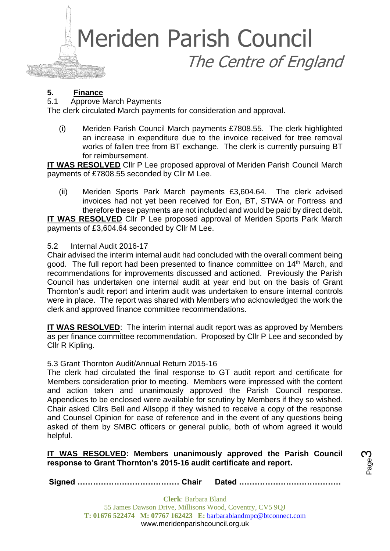

#### **5. Finance**

5.1 Approve March Payments

The clerk circulated March payments for consideration and approval.

(i) Meriden Parish Council March payments £7808.55. The clerk highlighted an increase in expenditure due to the invoice received for tree removal works of fallen tree from BT exchange. The clerk is currently pursuing BT for reimbursement.

**IT WAS RESOLVED** Cllr P Lee proposed approval of Meriden Parish Council March payments of £7808.55 seconded by Cllr M Lee.

(ii) Meriden Sports Park March payments £3,604.64. The clerk advised invoices had not yet been received for Eon, BT, STWA or Fortress and therefore these payments are not included and would be paid by direct debit.

**IT WAS RESOLVED** Cllr P Lee proposed approval of Meriden Sports Park March payments of £3,604.64 seconded by Cllr M Lee.

#### 5.2 Internal Audit 2016-17

Chair advised the interim internal audit had concluded with the overall comment being good. The full report had been presented to finance committee on 14<sup>th</sup> March, and recommendations for improvements discussed and actioned. Previously the Parish Council has undertaken one internal audit at year end but on the basis of Grant Thornton's audit report and interim audit was undertaken to ensure internal controls were in place. The report was shared with Members who acknowledged the work the clerk and approved finance committee recommendations.

**IT WAS RESOLVED:** The interim internal audit report was as approved by Members as per finance committee recommendation. Proposed by Cllr P Lee and seconded by Cllr R Kipling.

#### 5.3 Grant Thornton Audit/Annual Return 2015-16

The clerk had circulated the final response to GT audit report and certificate for Members consideration prior to meeting. Members were impressed with the content and action taken and unanimously approved the Parish Council response. Appendices to be enclosed were available for scrutiny by Members if they so wished. Chair asked Cllrs Bell and Allsopp if they wished to receive a copy of the response and Counsel Opinion for ease of reference and in the event of any questions being asked of them by SMBC officers or general public, both of whom agreed it would helpful.

#### **IT WAS RESOLVED: Members unanimously approved the Parish Council response to Grant Thornton's 2015-16 audit certificate and report.**

**Signed ………………………………… Chair Dated …………………………………**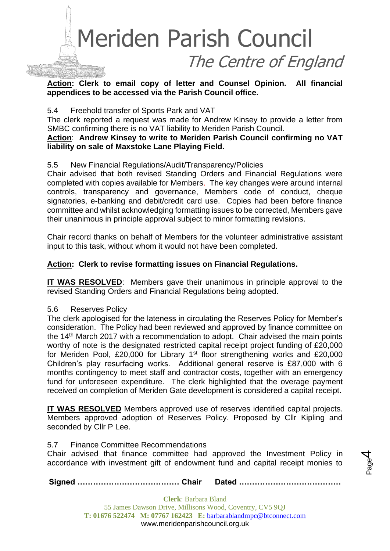

**Action: Clerk to email copy of letter and Counsel Opinion. All financial appendices to be accessed via the Parish Council office.**

#### 5.4 Freehold transfer of Sports Park and VAT

The clerk reported a request was made for Andrew Kinsey to provide a letter from SMBC confirming there is no VAT liability to Meriden Parish Council.

#### **Action**: **Andrew Kinsey to write to Meriden Parish Council confirming no VAT liability on sale of Maxstoke Lane Playing Field.**

#### 5.5 New Financial Regulations/Audit/Transparency/Policies

Chair advised that both revised Standing Orders and Financial Regulations were completed with copies available for Members. The key changes were around internal controls, transparency and governance, Members code of conduct, cheque signatories, e-banking and debit/credit card use. Copies had been before finance committee and whilst acknowledging formatting issues to be corrected, Members gave their unanimous in principle approval subject to minor formatting revisions.

Chair record thanks on behalf of Members for the volunteer administrative assistant input to this task, without whom it would not have been completed.

#### **Action: Clerk to revise formatting issues on Financial Regulations.**

**IT WAS RESOLVED**: Members gave their unanimous in principle approval to the revised Standing Orders and Financial Regulations being adopted.

#### 5.6 Reserves Policy

The clerk apologised for the lateness in circulating the Reserves Policy for Member's consideration. The Policy had been reviewed and approved by finance committee on the 14th March 2017 with a recommendation to adopt. Chair advised the main points worthy of note is the designated restricted capital receipt project funding of £20,000 for Meriden Pool, £20,000 for Library 1<sup>st</sup> floor strengthening works and £20,000 Children's play resurfacing works. Additional general reserve is £87,000 with 6 months contingency to meet staff and contractor costs, together with an emergency fund for unforeseen expenditure. The clerk highlighted that the overage payment received on completion of Meriden Gate development is considered a capital receipt.

**IT WAS RESOLVED** Members approved use of reserves identified capital projects. Members approved adoption of Reserves Policy. Proposed by Cllr Kipling and seconded by Cllr P Lee.

#### 5.7 Finance Committee Recommendations

Chair advised that finance committee had approved the Investment Policy in accordance with investment gift of endowment fund and capital receipt monies to

**Signed ………………………………… Chair Dated …………………………………**

Page 4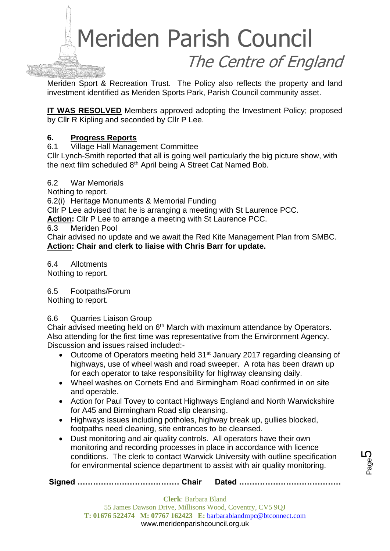

Meriden Sport & Recreation Trust. The Policy also reflects the property and land investment identified as Meriden Sports Park, Parish Council community asset.

**IT WAS RESOLVED** Members approved adopting the Investment Policy; proposed by Cllr R Kipling and seconded by Cllr P Lee.

#### **6. Progress Reports**

6.1 Village Hall Management Committee

Cllr Lynch-Smith reported that all is going well particularly the big picture show, with the next film scheduled 8th April being A Street Cat Named Bob.

6.2 War Memorials

Nothing to report.

6.2(i) Heritage Monuments & Memorial Funding

Cllr P Lee advised that he is arranging a meeting with St Laurence PCC.

**Action:** Cllr P Lee to arrange a meeting with St Laurence PCC.

6.3 Meriden Pool

Chair advised no update and we await the Red Kite Management Plan from SMBC. **Action: Chair and clerk to liaise with Chris Barr for update.**

6.4 Allotments Nothing to report.

#### 6.5 Footpaths/Forum

Nothing to report.

#### 6.6 Quarries Liaison Group

Chair advised meeting held on 6<sup>th</sup> March with maximum attendance by Operators. Also attending for the first time was representative from the Environment Agency. Discussion and issues raised included:-

- Outcome of Operators meeting held 31<sup>st</sup> January 2017 regarding cleansing of highways, use of wheel wash and road sweeper. A rota has been drawn up for each operator to take responsibility for highway cleansing daily.
- Wheel washes on Cornets End and Birmingham Road confirmed in on site and operable.
- Action for Paul Tovey to contact Highways England and North Warwickshire for A45 and Birmingham Road slip cleansing.
- Highways issues including potholes, highway break up, gullies blocked, footpaths need cleaning, site entrances to be cleansed.
- Dust monitoring and air quality controls. All operators have their own monitoring and recording processes in place in accordance with licence conditions. The clerk to contact Warwick University with outline specification for environmental science department to assist with air quality monitoring.

**Signed ………………………………… Chair Dated …………………………………**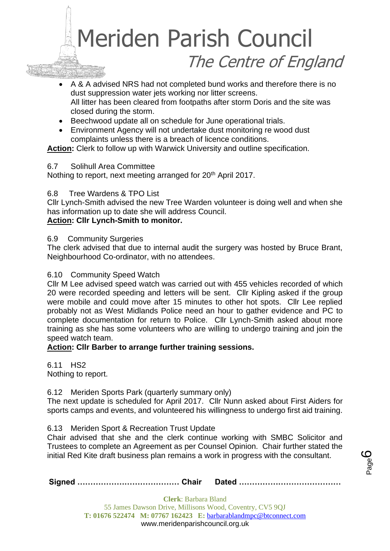A & A advised NRS had not completed bund works and therefore there is no dust suppression water jets working nor litter screens. All litter has been cleared from footpaths after storm Doris and the site was closed during the storm.

- Beechwood update all on schedule for June operational trials.
- Environment Agency will not undertake dust monitoring re wood dust complaints unless there is a breach of licence conditions.

**Action:** Clerk to follow up with Warwick University and outline specification.

#### 6.7 Solihull Area Committee

Nothing to report, next meeting arranged for 20<sup>th</sup> April 2017.

#### 6.8 Tree Wardens & TPO List

Cllr Lynch-Smith advised the new Tree Warden volunteer is doing well and when she has information up to date she will address Council.

#### **Action: Cllr Lynch-Smith to monitor.**

#### 6.9 Community Surgeries

The clerk advised that due to internal audit the surgery was hosted by Bruce Brant, Neighbourhood Co-ordinator, with no attendees.

#### 6.10 Community Speed Watch

Cllr M Lee advised speed watch was carried out with 455 vehicles recorded of which 20 were recorded speeding and letters will be sent. Cllr Kipling asked if the group were mobile and could move after 15 minutes to other hot spots. Cllr Lee replied probably not as West Midlands Police need an hour to gather evidence and PC to complete documentation for return to Police. Cllr Lynch-Smith asked about more training as she has some volunteers who are willing to undergo training and join the speed watch team.

#### **Action: Cllr Barber to arrange further training sessions.**

6.11 HS2 Nothing to report.

#### 6.12 Meriden Sports Park (quarterly summary only)

The next update is scheduled for April 2017. Cllr Nunn asked about First Aiders for sports camps and events, and volunteered his willingness to undergo first aid training.

6.13 Meriden Sport & Recreation Trust Update

Chair advised that she and the clerk continue working with SMBC Solicitor and Trustees to complete an Agreement as per Counsel Opinion. Chair further stated the initial Red Kite draft business plan remains a work in progress with the consultant.

**Signed ………………………………… Chair Dated …………………………………**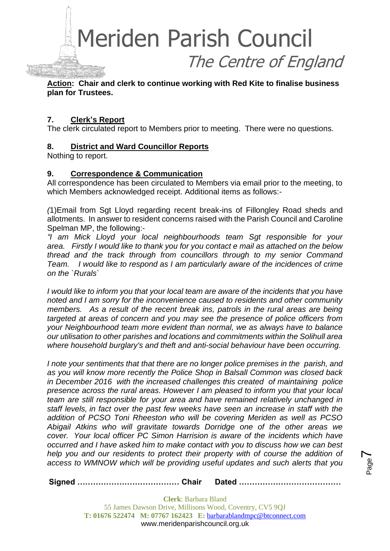

**Action: Chair and clerk to continue working with Red Kite to finalise business plan for Trustees.**

#### **7. Clerk's Report**

The clerk circulated report to Members prior to meeting. There were no questions.

#### **8. District and Ward Councillor Reports**

Nothing to report.

#### **9. Correspondence & Communication**

All correspondence has been circulated to Members via email prior to the meeting, to which Members acknowledged receipt. Additional items as follows:-

*(*1)Email from Sgt Lloyd regarding recent break-ins of Fillongley Road sheds and allotments. In answer to resident concerns raised with the Parish Council and Caroline Spelman MP, the following:-

*"I am Mick Lloyd your local neighbourhoods team Sgt responsible for your area. Firstly I would like to thank you for you contact e mail as attached on the below thread and the track through from councillors through to my senior Command Team. I would like to respond as I am particularly aware of the incidences of crime on the `Rurals`* 

*I would like to inform you that your local team are aware of the incidents that you have noted and I am sorry for the inconvenience caused to residents and other community members.* As a result of the recent break ins, patrols in the rural areas are being *targeted at areas of concern and you may see the presence of police officers from your Neighbourhood team more evident than normal, we as always have to balance our utilisation to other parishes and locations and commitments within the Solihull area where household burglary's and theft and anti-social behaviour have been occurring.*

*I note your sentiments that that there are no longer police premises in the parish, and as you will know more recently the Police Shop in Balsall Common was closed back in December 2016 with the increased challenges this created of maintaining police presence across the rural areas. However I am pleased to inform you that your local team are still responsible for your area and have remained relatively unchanged in staff levels, in fact over the past few weeks have seen an increase in staff with the addition of PCSO Toni Rheeston who will be covering Meriden as well as PCSO Abigail Atkins who will gravitate towards Dorridge one of the other areas we cover. Your local officer PC Simon Harrision is aware of the incidents which have occurred and I have asked him to make contact with you to discuss how we can best help you and our residents to protect their property with of course the addition of access to WMNOW which will be providing useful updates and such alerts that you* 

Page  $\blacktriangleright$ 

**Signed ………………………………… Chair Dated …………………………………**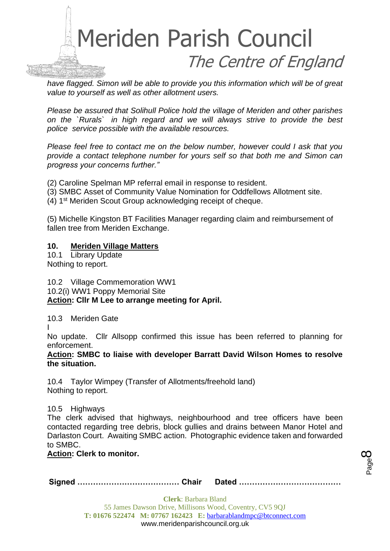

*have flagged. Simon will be able to provide you this information which will be of great value to yourself as well as other allotment users.*

*Please be assured that Solihull Police hold the village of Meriden and other parishes on the `Rurals` in high regard and we will always strive to provide the best police service possible with the available resources.*

*Please feel free to contact me on the below number, however could I ask that you provide a contact telephone number for yours self so that both me and Simon can progress your concerns further."*

(2) Caroline Spelman MP referral email in response to resident.

- (3) SMBC Asset of Community Value Nomination for Oddfellows Allotment site.
- (4) 1st Meriden Scout Group acknowledging receipt of cheque.

(5) Michelle Kingston BT Facilities Manager regarding claim and reimbursement of fallen tree from Meriden Exchange.

#### **10. Meriden Village Matters**

10.1 Library Update Nothing to report.

10.2 Village Commemoration WW1

10.2(i) WW1 Poppy Memorial Site

#### **Action: Cllr M Lee to arrange meeting for April.**

10.3 Meriden Gate

I

No update. Cllr Allsopp confirmed this issue has been referred to planning for enforcement.

**Action: SMBC to liaise with developer Barratt David Wilson Homes to resolve the situation.** 

10.4 Taylor Wimpey (Transfer of Allotments/freehold land) Nothing to report.

10.5 Highways

The clerk advised that highways, neighbourhood and tree officers have been contacted regarding tree debris, block gullies and drains between Manor Hotel and Darlaston Court. Awaiting SMBC action. Photographic evidence taken and forwarded to SMBC.

#### **Action: Clerk to monitor.**

**Signed ………………………………… Chair Dated …………………………………**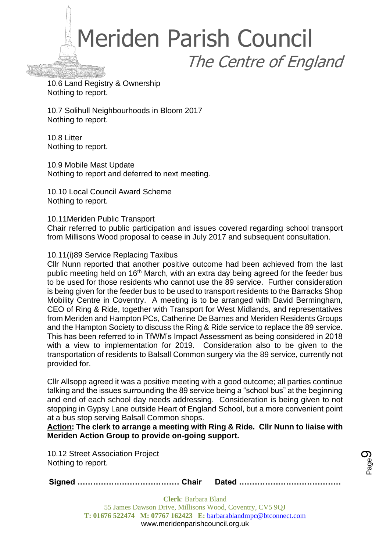10.6 Land Registry & Ownership Nothing to report.

10.7 Solihull Neighbourhoods in Bloom 2017 Nothing to report.

10.8 Litter Nothing to report.

10.9 Mobile Mast Update Nothing to report and deferred to next meeting.

10.10 Local Council Award Scheme Nothing to report.

10.11Meriden Public Transport

Chair referred to public participation and issues covered regarding school transport from Millisons Wood proposal to cease in July 2017 and subsequent consultation.

#### 10.11(i)89 Service Replacing Taxibus

Cllr Nunn reported that another positive outcome had been achieved from the last public meeting held on 16<sup>th</sup> March, with an extra day being agreed for the feeder bus to be used for those residents who cannot use the 89 service. Further consideration is being given for the feeder bus to be used to transport residents to the Barracks Shop Mobility Centre in Coventry. A meeting is to be arranged with David Bermingham, CEO of Ring & Ride, together with Transport for West Midlands, and representatives from Meriden and Hampton PCs, Catherine De Barnes and Meriden Residents Groups and the Hampton Society to discuss the Ring & Ride service to replace the 89 service. This has been referred to in TfWM's Impact Assessment as being considered in 2018 with a view to implementation for 2019. Consideration also to be given to the transportation of residents to Balsall Common surgery via the 89 service, currently not provided for.

Cllr Allsopp agreed it was a positive meeting with a good outcome; all parties continue talking and the issues surrounding the 89 service being a "school bus" at the beginning and end of each school day needs addressing. Consideration is being given to not stopping in Gypsy Lane outside Heart of England School, but a more convenient point at a bus stop serving Balsall Common shops.

**Action: The clerk to arrange a meeting with Ring & Ride. Cllr Nunn to liaise with Meriden Action Group to provide on-going support.**

10.12 Street Association Project Nothing to report.

**Signed ………………………………… Chair Dated …………………………………**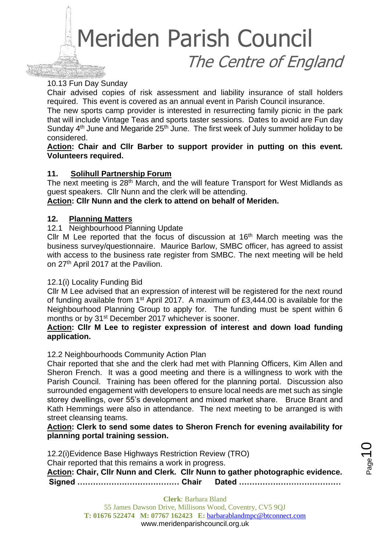#### 10.13 Fun Day Sunday

Chair advised copies of risk assessment and liability insurance of stall holders required. This event is covered as an annual event in Parish Council insurance.

The new sports camp provider is interested in resurrecting family picnic in the park that will include Vintage Teas and sports taster sessions. Dates to avoid are Fun day Sunday  $4<sup>th</sup>$  June and Megaride  $25<sup>th</sup>$  June. The first week of July summer holiday to be considered.

#### **Action: Chair and Cllr Barber to support provider in putting on this event. Volunteers required.**

#### **11. Solihull Partnership Forum**

The next meeting is 28<sup>th</sup> March, and the will feature Transport for West Midlands as guest speakers. Cllr Nunn and the clerk will be attending.

#### **Action: Cllr Nunn and the clerk to attend on behalf of Meriden.**

#### **12. Planning Matters**

#### 12.1 Neighbourhood Planning Update

Cllr M Lee reported that the focus of discussion at  $16<sup>th</sup>$  March meeting was the business survey/questionnaire. Maurice Barlow, SMBC officer, has agreed to assist with access to the business rate register from SMBC. The next meeting will be held on 27<sup>th</sup> April 2017 at the Pavilion.

#### 12.1(i) Locality Funding Bid

Cllr M Lee advised that an expression of interest will be registered for the next round of funding available from 1st April 2017. A maximum of £3,444.00 is available for the Neighbourhood Planning Group to apply for. The funding must be spent within 6 months or by 31<sup>st</sup> December 2017 whichever is sooner.

#### **Action: Cllr M Lee to register expression of interest and down load funding application.**

#### 12.2 Neighbourhoods Community Action Plan

Chair reported that she and the clerk had met with Planning Officers, Kim Allen and Sheron French. It was a good meeting and there is a willingness to work with the Parish Council. Training has been offered for the planning portal. Discussion also surrounded engagement with developers to ensure local needs are met such as single storey dwellings, over 55's development and mixed market share. Bruce Brant and Kath Hemmings were also in attendance. The next meeting to be arranged is with street cleansing teams.

**Action: Clerk to send some dates to Sheron French for evening availability for planning portal training session.**

**Signed ………………………………… Chair Dated …………………………………** 12.2(i)Evidence Base Highways Restriction Review (TRO) Chair reported that this remains a work in progress. **Action: Chair, Cllr Nunn and Clerk. Cllr Nunn to gather photographic evidence.**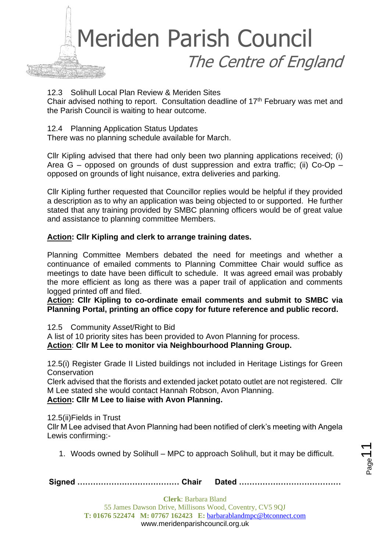

12.3 Solihull Local Plan Review & Meriden Sites

Chair advised nothing to report. Consultation deadline of 17<sup>th</sup> February was met and the Parish Council is waiting to hear outcome.

12.4 Planning Application Status Updates

There was no planning schedule available for March.

Cllr Kipling advised that there had only been two planning applications received; (i) Area  $G$  – opposed on grounds of dust suppression and extra traffic; (ii) Co-Op – opposed on grounds of light nuisance, extra deliveries and parking.

Cllr Kipling further requested that Councillor replies would be helpful if they provided a description as to why an application was being objected to or supported. He further stated that any training provided by SMBC planning officers would be of great value and assistance to planning committee Members.

#### **Action: Cllr Kipling and clerk to arrange training dates.**

Planning Committee Members debated the need for meetings and whether a continuance of emailed comments to Planning Committee Chair would suffice as meetings to date have been difficult to schedule. It was agreed email was probably the more efficient as long as there was a paper trail of application and comments logged printed off and filed.

**Action: Cllr Kipling to co-ordinate email comments and submit to SMBC via Planning Portal, printing an office copy for future reference and public record.**

12.5 Community Asset/Right to Bid

A list of 10 priority sites has been provided to Avon Planning for process.

**Action**: **Cllr M Lee to monitor via Neighbourhood Planning Group.**

12.5(i) Register Grade II Listed buildings not included in Heritage Listings for Green **Conservation** 

Clerk advised that the florists and extended jacket potato outlet are not registered. Cllr M Lee stated she would contact Hannah Robson, Avon Planning.

#### **Action: Cllr M Lee to liaise with Avon Planning.**

12.5(ii)Fields in Trust

Cllr M Lee advised that Avon Planning had been notified of clerk's meeting with Angela Lewis confirming:-

1. Woods owned by Solihull – MPC to approach Solihull, but it may be difficult.